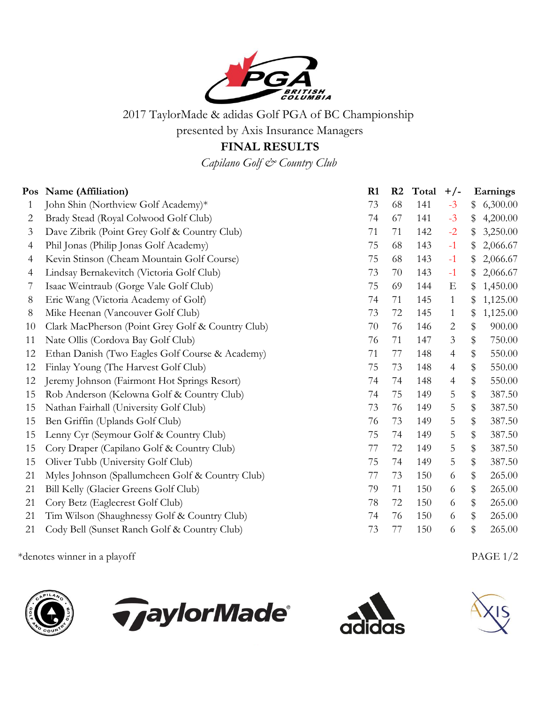

2017 TaylorMade & adidas Golf PGA of BC Championship

presented by Axis Insurance Managers

## **FINAL RESULTS**

*Capilano Golf & Country Club*

|                | Pos Name (Affiliation)                            | R1 | R <sub>2</sub> | Total | $+/-$          |      | Earnings |
|----------------|---------------------------------------------------|----|----------------|-------|----------------|------|----------|
| 1              | John Shin (Northview Golf Academy)*               | 73 | 68             | 141   | $-3$           | \$   | 6,300.00 |
| $\overline{2}$ | Brady Stead (Royal Colwood Golf Club)             | 74 | 67             | 141   | $-3$           | \$   | 4,200.00 |
| 3              | Dave Zibrik (Point Grey Golf & Country Club)      | 71 | 71             | 142   | $-2$           | \$   | 3,250.00 |
| 4              | Phil Jonas (Philip Jonas Golf Academy)            | 75 | 68             | 143   | $-1$           | \$   | 2,066.67 |
| $\overline{4}$ | Kevin Stinson (Cheam Mountain Golf Course)        | 75 | 68             | 143   | $-1$           |      | 2,066.67 |
| 4              | Lindsay Bernakevitch (Victoria Golf Club)         | 73 | 70             | 143   | $-1$           | \$   | 2,066.67 |
| 7              | Isaac Weintraub (Gorge Vale Golf Club)            | 75 | 69             | 144   | E              | \$   | 1,450.00 |
| 8              | Eric Wang (Victoria Academy of Golf)              | 74 | 71             | 145   | $\mathbf{1}$   |      | 1,125.00 |
| $8\,$          | Mike Heenan (Vancouver Golf Club)                 | 73 | 72             | 145   | $\mathbf{1}$   | \$   | 1,125.00 |
| 10             | Clark MacPherson (Point Grey Golf & Country Club) | 70 | 76             | 146   | $\overline{2}$ | \$   | 900.00   |
| 11             | Nate Ollis (Cordova Bay Golf Club)                | 76 | 71             | 147   | $\mathfrak{Z}$ | \$   | 750.00   |
| 12             | Ethan Danish (Two Eagles Golf Course & Academy)   | 71 | 77             | 148   | $\overline{4}$ | \$   | 550.00   |
| 12             | Finlay Young (The Harvest Golf Club)              | 75 | 73             | 148   | $\overline{4}$ | \$   | 550.00   |
| 12             | Jeremy Johnson (Fairmont Hot Springs Resort)      | 74 | 74             | 148   | $\overline{4}$ | $\,$ | 550.00   |
| 15             | Rob Anderson (Kelowna Golf & Country Club)        | 74 | 75             | 149   | 5              | $\,$ | 387.50   |
| 15             | Nathan Fairhall (University Golf Club)            | 73 | 76             | 149   | 5              | \$   | 387.50   |
| 15             | Ben Griffin (Uplands Golf Club)                   | 76 | 73             | 149   | 5              | \$   | 387.50   |
| 15             | Lenny Cyr (Seymour Golf & Country Club)           | 75 | 74             | 149   | 5              | $\,$ | 387.50   |
| 15             | Cory Draper (Capilano Golf & Country Club)        | 77 | 72             | 149   | 5              | $\,$ | 387.50   |
| 15             | Oliver Tubb (University Golf Club)                | 75 | 74             | 149   | 5              | \$   | 387.50   |
| 21             | Myles Johnson (Spallumcheen Golf & Country Club)  | 77 | 73             | 150   | 6              | \$   | 265.00   |
| 21             | Bill Kelly (Glacier Greens Golf Club)             | 79 | 71             | 150   | 6              | \$   | 265.00   |
| 21             | Cory Betz (Eaglecrest Golf Club)                  | 78 | 72             | 150   | 6              | \$   | 265.00   |
| 21             | Tim Wilson (Shaughnessy Golf & Country Club)      | 74 | 76             | 150   | 6              | \$   | 265.00   |
| 21             | Cody Bell (Sunset Ranch Golf & Country Club)      | 73 | 77             | 150   | 6              | \$   | 265.00   |

\*denotes winner in a playoff PAGE 1/2



*TaylorMade®*